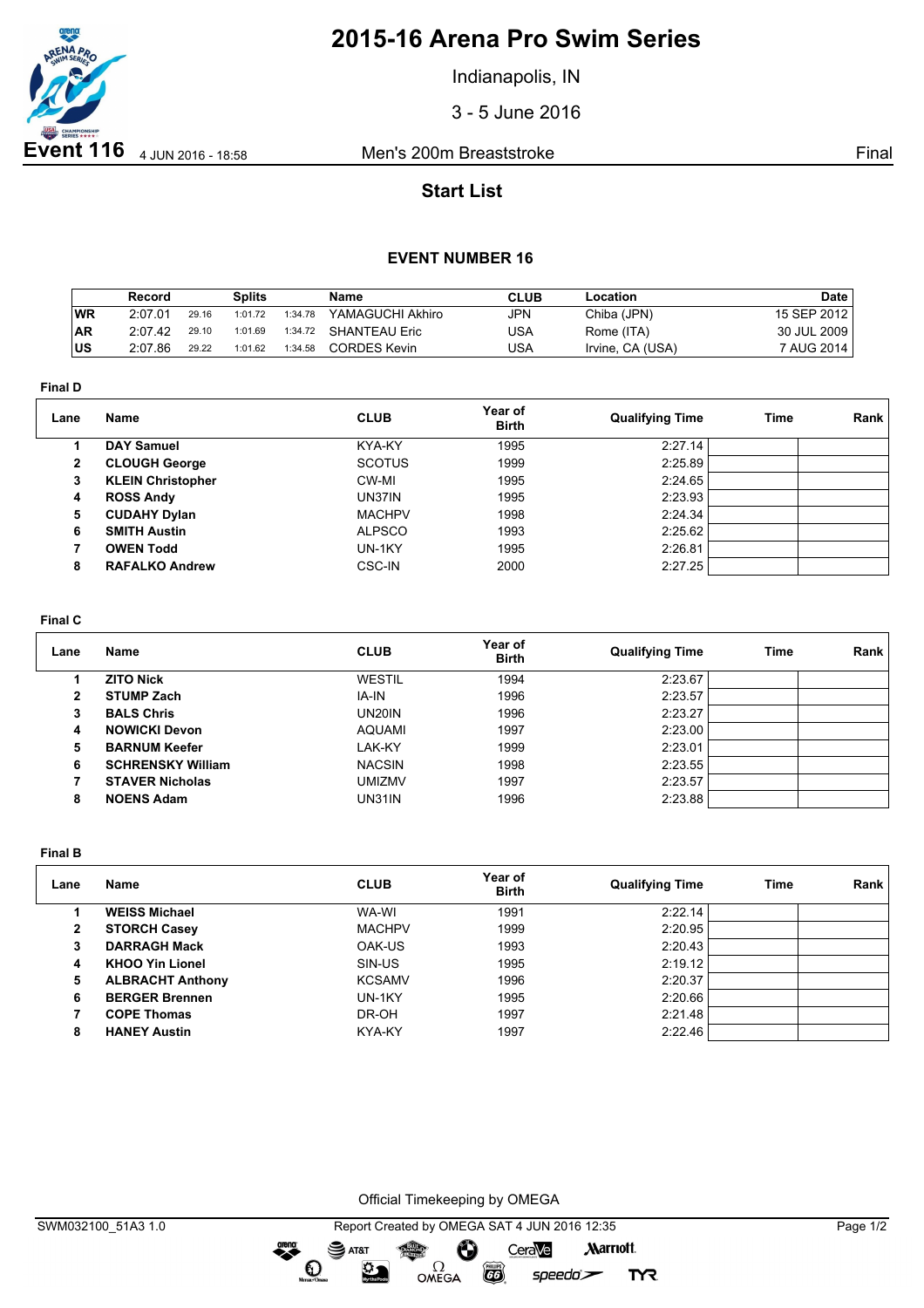

# **2015-16 Arena Pro Swim Series**

Indianapolis, IN

3 - 5 June 2016

## **Start List**

### **EVENT NUMBER 16**

|           | Record  |       | <b>Splits</b> |         | <b>Name</b>         | <b>CLUB</b> | ∟ocation         | Date        |
|-----------|---------|-------|---------------|---------|---------------------|-------------|------------------|-------------|
| <b>WR</b> | 2:07.01 | 29.16 | 1:01.72       | 1:34.78 | YAMAGUCHI Akhiro    | JPN         | Chiba (JPN)      | 15 SEP 2012 |
| <b>AR</b> | 2:07.42 | 29.10 | 1:01.69       | 1:34.72 | SHANTEAU Eric       | USA         | Rome (ITA)       | 30 JUL 2009 |
| lus.      | 2:07.86 | 29.22 | 1:01.62       | 1:34.58 | <b>CORDES Kevin</b> | USA         | Irvine, CA (USA) | 7 AUG 2014  |

**Final D**

| Lane           | Name                     | <b>CLUB</b>   | Year of<br><b>Birth</b> | <b>Qualifying Time</b> | Time | Rank |
|----------------|--------------------------|---------------|-------------------------|------------------------|------|------|
|                | <b>DAY Samuel</b>        | KYA-KY        | 1995                    | 2:27.14                |      |      |
| $\overline{2}$ | <b>CLOUGH George</b>     | <b>SCOTUS</b> | 1999                    | 2:25.89                |      |      |
| 3              | <b>KLEIN Christopher</b> | CW-MI         | 1995                    | 2:24.65                |      |      |
| 4              | <b>ROSS Andy</b>         | UN37IN        | 1995                    | 2:23.93                |      |      |
| 5              | <b>CUDAHY Dylan</b>      | <b>MACHPV</b> | 1998                    | 2:24.34                |      |      |
| 6              | <b>SMITH Austin</b>      | <b>ALPSCO</b> | 1993                    | 2:25.62                |      |      |
|                | <b>OWEN Todd</b>         | UN-1KY        | 1995                    | 2:26.81                |      |      |
| 8              | <b>RAFALKO Andrew</b>    | CSC-IN        | 2000                    | 2:27.25                |      |      |

#### **Final C**

| Lane | Name                     | <b>CLUB</b>         | Year of<br><b>Birth</b> | <b>Qualifying Time</b> | Time | Rank |
|------|--------------------------|---------------------|-------------------------|------------------------|------|------|
|      | <b>ZITO Nick</b>         | <b>WESTIL</b>       | 1994                    | 2:23.67                |      |      |
| 2    | <b>STUMP Zach</b>        | IA-IN               | 1996                    | 2:23.57                |      |      |
| з    | <b>BALS Chris</b>        | UN <sub>20</sub> IN | 1996                    | 2:23.27                |      |      |
| 4    | <b>NOWICKI Devon</b>     | <b>AQUAMI</b>       | 1997                    | 2:23.00                |      |      |
| 5    | <b>BARNUM Keefer</b>     | LAK-KY              | 1999                    | 2:23.01                |      |      |
| 6    | <b>SCHRENSKY William</b> | <b>NACSIN</b>       | 1998                    | 2:23.55                |      |      |
|      | <b>STAVER Nicholas</b>   | <b>UMIZMV</b>       | 1997                    | 2:23.57                |      |      |
| 8    | <b>NOENS Adam</b>        | UN31IN              | 1996                    | 2:23.88                |      |      |

**Final B**

| Lane | <b>Name</b>             | <b>CLUB</b>   | Year of<br><b>Birth</b> | <b>Qualifying Time</b> | <b>Time</b> | Rank |
|------|-------------------------|---------------|-------------------------|------------------------|-------------|------|
|      | <b>WEISS Michael</b>    | WA-WI         | 1991                    | 2:22.14                |             |      |
| 2    | <b>STORCH Casey</b>     | <b>MACHPV</b> | 1999                    | 2:20.95                |             |      |
| 3    | <b>DARRAGH Mack</b>     | OAK-US        | 1993                    | 2:20.43                |             |      |
| 4    | <b>KHOO Yin Lionel</b>  | SIN-US        | 1995                    | 2:19.12                |             |      |
| 5    | <b>ALBRACHT Anthony</b> | <b>KCSAMV</b> | 1996                    | 2:20.37                |             |      |
| 6    | <b>BERGER Brennen</b>   | UN-1KY        | 1995                    | 2:20.66                |             |      |
|      | <b>COPE Thomas</b>      | DR-OH         | 1997                    | 2:21.48                |             |      |
| 8    | <b>HANEY Austin</b>     | KYA-KY        | 1997                    | 2:22.46                |             |      |

Official Timekeeping by OMEGA

**CO** 

 $speedo$ 

**TYR** 

OMEGA

greng:

 $\mathbf{O}$ 

 $\mathfrak{D}$